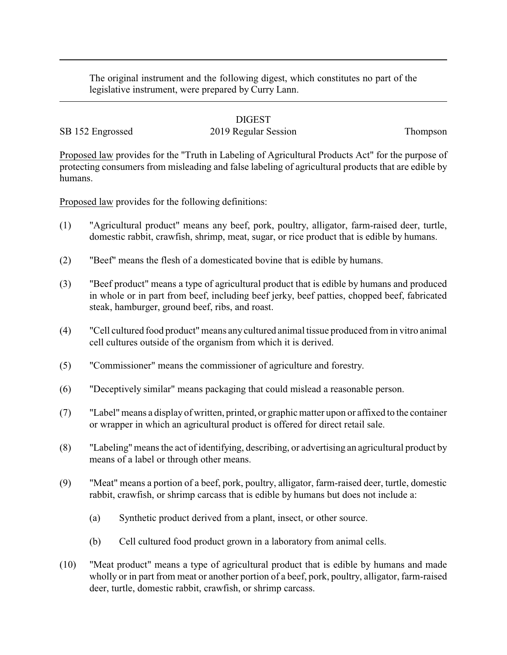The original instrument and the following digest, which constitutes no part of the legislative instrument, were prepared by Curry Lann.

#### DIGEST

# SB 152 Engrossed 2019 Regular Session Thompson

Proposed law provides for the "Truth in Labeling of Agricultural Products Act" for the purpose of protecting consumers from misleading and false labeling of agricultural products that are edible by humans.

Proposed law provides for the following definitions:

- (1) "Agricultural product" means any beef, pork, poultry, alligator, farm-raised deer, turtle, domestic rabbit, crawfish, shrimp, meat, sugar, or rice product that is edible by humans.
- (2) "Beef" means the flesh of a domesticated bovine that is edible by humans.
- (3) "Beef product" means a type of agricultural product that is edible by humans and produced in whole or in part from beef, including beef jerky, beef patties, chopped beef, fabricated steak, hamburger, ground beef, ribs, and roast.
- (4) "Cell cultured food product"means any cultured animal tissue produced from in vitro animal cell cultures outside of the organism from which it is derived.
- (5) "Commissioner" means the commissioner of agriculture and forestry.
- (6) "Deceptively similar" means packaging that could mislead a reasonable person.
- (7) "Label"means a display of written, printed, or graphic matter upon or affixed to the container or wrapper in which an agricultural product is offered for direct retail sale.
- (8) "Labeling" means the act of identifying, describing, or advertising an agricultural product by means of a label or through other means.
- (9) "Meat" means a portion of a beef, pork, poultry, alligator, farm-raised deer, turtle, domestic rabbit, crawfish, or shrimp carcass that is edible by humans but does not include a:
	- (a) Synthetic product derived from a plant, insect, or other source.
	- (b) Cell cultured food product grown in a laboratory from animal cells.
- (10) "Meat product" means a type of agricultural product that is edible by humans and made wholly or in part from meat or another portion of a beef, pork, poultry, alligator, farm-raised deer, turtle, domestic rabbit, crawfish, or shrimp carcass.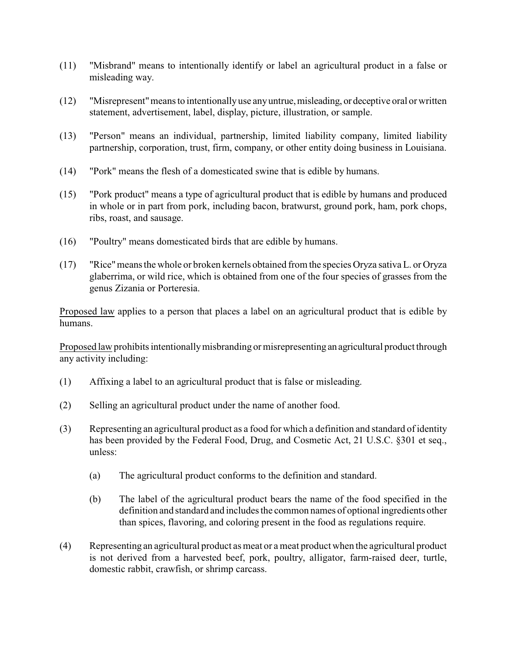- (11) "Misbrand" means to intentionally identify or label an agricultural product in a false or misleading way.
- (12) "Misrepresent"means to intentionallyuse anyuntrue,misleading, or deceptive oral or written statement, advertisement, label, display, picture, illustration, or sample.
- (13) "Person" means an individual, partnership, limited liability company, limited liability partnership, corporation, trust, firm, company, or other entity doing business in Louisiana.
- (14) "Pork" means the flesh of a domesticated swine that is edible by humans.
- (15) "Pork product" means a type of agricultural product that is edible by humans and produced in whole or in part from pork, including bacon, bratwurst, ground pork, ham, pork chops, ribs, roast, and sausage.
- (16) "Poultry" means domesticated birds that are edible by humans.
- (17) "Rice"means the whole or broken kernels obtained from the species Oryza sativa L. or Oryza glaberrima, or wild rice, which is obtained from one of the four species of grasses from the genus Zizania or Porteresia.

Proposed law applies to a person that places a label on an agricultural product that is edible by humans.

Proposed law prohibits intentionallymisbranding or misrepresenting an agricultural product through any activity including:

- (1) Affixing a label to an agricultural product that is false or misleading.
- (2) Selling an agricultural product under the name of another food.
- (3) Representing an agricultural product as a food for which a definition and standard of identity has been provided by the Federal Food, Drug, and Cosmetic Act, 21 U.S.C. §301 et seq., unless:
	- (a) The agricultural product conforms to the definition and standard.
	- (b) The label of the agricultural product bears the name of the food specified in the definition and standard and includes the common names of optional ingredients other than spices, flavoring, and coloring present in the food as regulations require.
- (4) Representing an agricultural product as meat or a meat product when the agricultural product is not derived from a harvested beef, pork, poultry, alligator, farm-raised deer, turtle, domestic rabbit, crawfish, or shrimp carcass.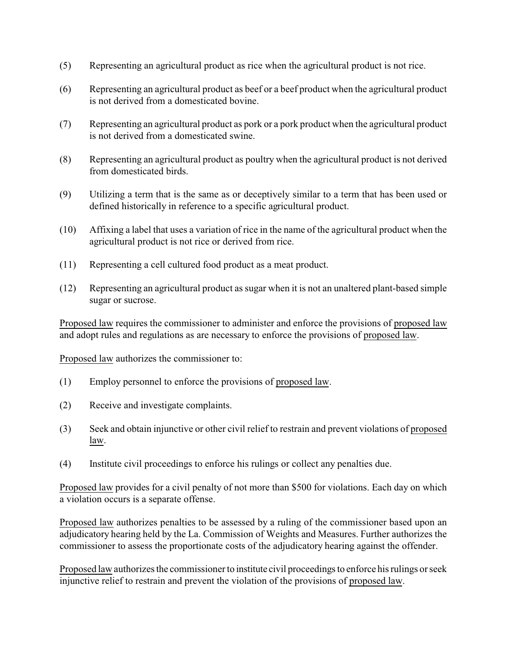- (5) Representing an agricultural product as rice when the agricultural product is not rice.
- (6) Representing an agricultural product as beef or a beef product when the agricultural product is not derived from a domesticated bovine.
- (7) Representing an agricultural product as pork or a pork product when the agricultural product is not derived from a domesticated swine.
- (8) Representing an agricultural product as poultry when the agricultural product is not derived from domesticated birds.
- (9) Utilizing a term that is the same as or deceptively similar to a term that has been used or defined historically in reference to a specific agricultural product.
- (10) Affixing a label that uses a variation of rice in the name of the agricultural product when the agricultural product is not rice or derived from rice.
- (11) Representing a cell cultured food product as a meat product.
- (12) Representing an agricultural product as sugar when it is not an unaltered plant-based simple sugar or sucrose.

Proposed law requires the commissioner to administer and enforce the provisions of proposed law and adopt rules and regulations as are necessary to enforce the provisions of proposed law.

Proposed law authorizes the commissioner to:

- (1) Employ personnel to enforce the provisions of proposed law.
- (2) Receive and investigate complaints.
- (3) Seek and obtain injunctive or other civil relief to restrain and prevent violations of proposed law.
- (4) Institute civil proceedings to enforce his rulings or collect any penalties due.

Proposed law provides for a civil penalty of not more than \$500 for violations. Each day on which a violation occurs is a separate offense.

Proposed law authorizes penalties to be assessed by a ruling of the commissioner based upon an adjudicatory hearing held by the La. Commission of Weights and Measures. Further authorizes the commissioner to assess the proportionate costs of the adjudicatory hearing against the offender.

Proposed law authorizes the commissioner to institute civil proceedings to enforce his rulings or seek injunctive relief to restrain and prevent the violation of the provisions of proposed law.